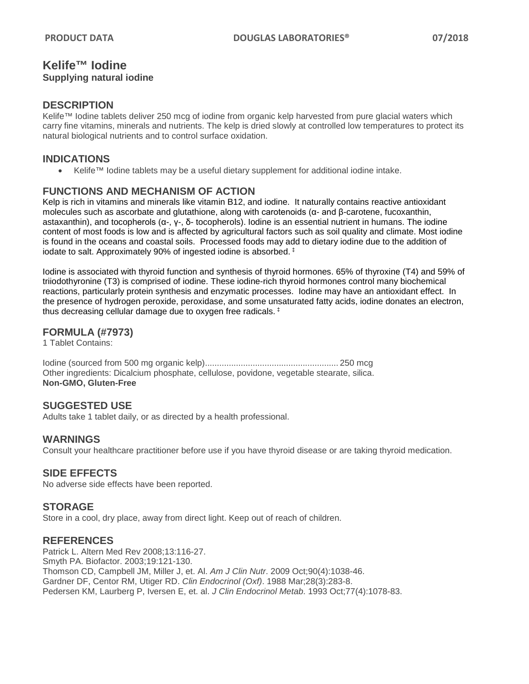### **Kelife™ Iodine Supplying natural iodine**

## **DESCRIPTION**

Kelife™ Iodine tablets deliver 250 mcg of iodine from organic kelp harvested from pure glacial waters which carry fine vitamins, minerals and nutrients. The kelp is dried slowly at controlled low temperatures to protect its natural biological nutrients and to control surface oxidation.

## **INDICATIONS**

• Kelife™ Iodine tablets may be a useful dietary supplement for additional iodine intake.

## **FUNCTIONS AND MECHANISM OF ACTION**

Kelp is rich in vitamins and minerals like vitamin B12, and iodine. It naturally contains reactive antioxidant molecules such as ascorbate and glutathione, along with carotenoids ( $α$ - and  $β$ -carotene, fucoxanthin, astaxanthin), and tocopherols (α-, γ-, δ- tocopherols). Iodine is an essential nutrient in humans. The iodine content of most foods is low and is affected by agricultural factors such as soil quality and climate. Most iodine is found in the oceans and coastal soils. Processed foods may add to dietary iodine due to the addition of iodate to salt. Approximately 90% of ingested iodine is absorbed. ‡

Iodine is associated with thyroid function and synthesis of thyroid hormones. 65% of thyroxine (T4) and 59% of triiodothyronine (T3) is comprised of iodine. These iodine-rich thyroid hormones control many biochemical reactions, particularly protein synthesis and enzymatic processes. Iodine may have an antioxidant effect. In the presence of hydrogen peroxide, peroxidase, and some unsaturated fatty acids, iodine donates an electron, thus decreasing cellular damage due to oxygen free radicals. ‡

## **FORMULA (#7973)**

1 Tablet Contains:

Iodine (sourced from 500 mg organic kelp)........................................................ 250 mcg Other ingredients: Dicalcium phosphate, cellulose, povidone, vegetable stearate, silica. **Non-GMO, Gluten-Free**

## **SUGGESTED USE**

Adults take 1 tablet daily, or as directed by a health professional.

#### **WARNINGS**

Consult your healthcare practitioner before use if you have thyroid disease or are taking thyroid medication.

## **SIDE EFFECTS**

No adverse side effects have been reported.

## **STORAGE**

Store in a cool, dry place, away from direct light. Keep out of reach of children.

## **REFERENCES**

Patrick L. Altern Med Rev 2008;13:116-27. Smyth PA. Biofactor. 2003;19:121-130. Thomson CD, Campbell JM, Miller J, et. Al. *Am J Clin Nutr*. 2009 Oct;90(4):1038-46. Gardner DF, Centor RM, Utiger RD. *Clin Endocrinol (Oxf)*. 1988 Mar;28(3):283-8. Pedersen KM, Laurberg P, Iversen E, et. al. *J Clin Endocrinol Metab*. 1993 Oct;77(4):1078-83.